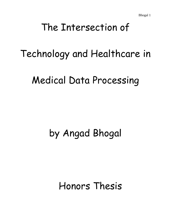## The Intersection of

## Technology and Healthcare in

## Medical Data Processing

# by Angad Bhogal

Honors Thesis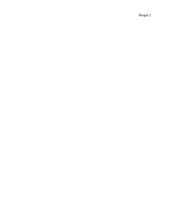Bhogal 2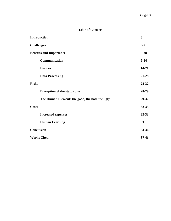## Table of Contents

| <b>Introduction</b>                            | 3         |
|------------------------------------------------|-----------|
| <b>Challenges</b>                              | $3 - 5$   |
| <b>Benefits and Importance</b>                 | $5 - 28$  |
| Communication                                  | $5-14$    |
| <b>Devices</b>                                 | $14 - 21$ |
| <b>Data Processing</b>                         | $21 - 28$ |
| <b>Risks</b>                                   | 28-32     |
| Disruption of the status quo                   | 28-29     |
| The Human Element: the good, the bad, the ugly | 29-32     |
| <b>Costs</b>                                   | 32-33     |
| <b>Increased expenses</b>                      | 32-33     |
| <b>Human Learning</b>                          | 33        |
| <b>Conclusion</b>                              | 33-36     |
| <b>Works Cited</b>                             | $37 - 41$ |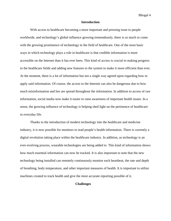Bhogal 4

#### **Introduction**

With access to healthcare becoming a more important and pressing issue to people worldwide, and technology's global influence growing tremendously, there is so much to come with the growing prominence of technology in the field of healthcare. One of the most basic ways in which technology plays a role in healthcare is that credible information is more accessible on the Internet than it has ever been. This kind of access is crucial to making progress in the healthcare fields and adding new features to the system to make it more efficient than ever. At the moment, there is a lot of information but not a single way agreed upon regarding how to apply said information. Of course, the access to the Internet can also be dangerous due to how much misinformation and lies are spread throughout the information. In addition to access of raw information, social media now make it easier to raise awareness of important health issues. In a sense, the growing influence of technology is helping shed light on the pertinence of healthcare in everyday life.

Thanks to the introduction of modern technology into the healthcare and medicine industry, it is now possible for monitors to read people's health information. There is currently a digital revolution taking place within the healthcare industry. In addition, as technology is an ever-evolving process, wearable technologies are being added to This kind of information shows how much essential information can now be tracked. It is also important to note that the new technology being installed can remotely continuously monitor each heartbeat, the rate and depth of breathing, body temperature, and other important measures of health. It is important to utilize machines created to track health and give the most accurate reporting possible of it.

### **Challenges**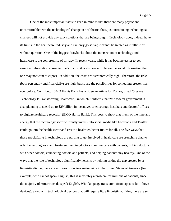Bhogal 5

One of the most important facts to keep in mind is that there are many physicians uncomfortable with the technological change in healthcare; thus, just introducing technological changes will not provide any easy solutions that are being sought. Technology does, indeed, have its limits in the healthcare industry and can only go so far; it cannot be treated as infallible or without question. One of the biggest drawbacks about the intersection of technology and healthcare is the compromise of privacy. In recent years, while it has become easier to get essential information across to one's doctor, it is also easier to let out personal information that one may not want to expose. In addition, the costs are astronomically high. Therefore, the risks (both personally and financially) are high, but so are the possibilities for something greater than ever before. Contributor BMO Harris Bank has written an article for *Forbes*, titled "5 Ways Technology Is Transforming Healthcare," in which it informs that "the federal government is also planning to spend up to \$29 billion in incentives to encourage hospitals and doctors' offices to digitize healthcare records." (BMO Harris Bank). This goes to show that much of the time and energy that the technology sector currently invests into social media like Facebook and Twitter could go into the health sector and create a healthier, better future for all. The five ways that those specializing in technology are starting to get involved in healthcare are crunching data to offer better diagnosis and treatment, helping doctors communicate with patients, linking doctors with other doctors, connecting doctors and patients, and helping patients stay healthy. One of the ways that the role of technology significantly helps is by helping bridge the gap created by a linguistic divide; there are millions of doctors nationwide in the United States of America (for example) who cannot speak English; this is inevitably a problem for millions of patients, since the majority of Americans do speak English. With language translators (from apps to full-blown devices), along with technological devices that will require little linguistic abilities, there are so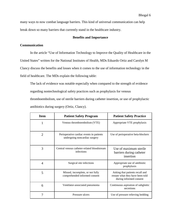many ways to now combat language barriers. This kind of universal communication can help break down so many barriers that currently stand in the healthcare industry.

## **Benefits and Importance**

## **Communication**

In the article "Use of Information Technology to Improve the Quality of Healthcare in the United States" written for the National Institutes of Health, MDs Eduardo Ortiz and Carolyn M Clancy discuss the benefits and losses when it comes to the use of information technology in the field of healthcare. The MDs explain the following table:

The lack of evidence was notable especially when compared to the strength of evidence regarding nontechnological safety practices such as prophylaxis for venous thromboembolism, use of sterile barriers during catheter insertion, or use of prophylactic antibiotics during surgery (Ortiz, Clancy).

| <b>Item</b>    | <b>Patient Safety Program</b>                                             | <b>Patient Safety Practice</b>                                                                 |
|----------------|---------------------------------------------------------------------------|------------------------------------------------------------------------------------------------|
|                | Venous thromboembolism (VTE)                                              | Appropriate VTE prophylaxis                                                                    |
| $\overline{2}$ | Perioperative cardiac events in patients<br>undergoing noncardiac surgery | Use of perioperative beta-blockers                                                             |
| 3              | Central venous catheter-related bloodstream<br>infections                 | Use of maximum sterile<br>barriers during catheter<br>insertion                                |
| $\overline{4}$ | Surgical site infections                                                  | Appropriate use of antibiotic<br>prophylaxis                                                   |
| 5              | Missed, incomplete, or not fully<br>comprehended informed consent         | Asking that patients recall and<br>restate what they have been told<br>during informed consent |
| 6              | Ventilator-associated pneumonia                                           | Continuous aspiration of subglottic<br>secretions                                              |
|                | Pressure ulcers                                                           | Use of pressure relieving bedding                                                              |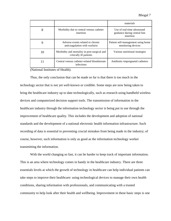|   |                                                                         | materials                                                                |
|---|-------------------------------------------------------------------------|--------------------------------------------------------------------------|
| 8 | Morbidity due to central venous catheter<br>insertion                   | Use of real-time ultrasound<br>guidance during central line<br>insertion |
| 9 | Adverse events related to chronic<br>anticoagulation with warfarin      | Patient self-management using home<br>monitoring devices                 |
|   | Morbidity and mortality in post-surgical and<br>critically ill patients | Various nutritional strategies                                           |
|   | Central venous catheter-related bloodstream<br>infections               | Antibiotic-impregnated catheters                                         |

(National Institutes of Health).

Thus, the only conclusion that can be made so far is that there is too much in the technology sector that is not yet well-known or credible. Some steps are now being taken to bring the healthcare industry up to date technologically, such as research using handheld wireless devices and computerized decision support tools. The transmission of information in the healthcare industry through the information technology sector is being put to use through the improvement of healthcare quality. This includes the development and adoption of national standards and the development of a national electronic health information infrastructure. Such recording of data is essential to preventing crucial mistakes from being made in the industry; of course, however, such information is only as good as the information technology worker transmitting the information.

With the world changing so fast, it can be harder to keep track of important information. This is an area where technology comes in handy in the healthcare industry. There are three essentials levels at which the growth of technology in healthcare can help individual patients can take steps to improve their healthcare: using technological devices to manage their own health conditions, sharing information with professionals, and communicating with a trusted community to help look after their health and wellbeing. Improvement in these basic steps is one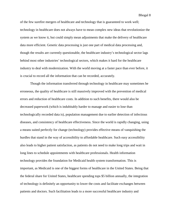Bhogal 8

of the few surefire mergers of healthcare and technology that is guaranteed to work well; technology in healthcare does not always have to mean complex new ideas that revolutionize the system as we know it, but could simply mean adjustments that make the delivery of healthcare data more efficient. Genetic data processing is just one part of medical data processing and, though the results are currently questionable, the healthcare industry's technological sector lags behind most other industries' technological sectors, which makes it hard for the healthcare industry to deal with modernization. With the world moving at a faster pace than ever before, it is crucial to record all the information that can be recorded, accurately.

Though the information transferred through technology in healthcare may sometimes be erroneous, the quality of healthcare is still massively improved with the prevention of medical errors and reduction of healthcare costs. In addition to such benefits, there would also be decreased paperwork (which is indubitably harder to manage and easier to lose than technologically recorded data is), population management due to earlier detection of infectious diseases, and consistency of healthcare effectiveness. Since the world is rapidly changing, using a means suited perfectly for change (technology) provides effective means of vanquishing the hurdles that stand in the way of accessibility to affordable healthcare. Such easy accessibility also leads to higher patient satisfaction, as patients do not need to make long trips and wait in long lines to schedule appointments with healthcare professionals. Health information technology provides the foundation for Medicaid health system transformation. This is important, as Medicaid is one of the biggest forms of healthcare in the United States. Being that the federal share for United States, healthcare spending tops \$5 billion annually, the integration of technology is definitely an opportunity to lower the costs and facilitate exchanges between patients and doctors. Such facilitation leads to a more successful healthcare industry and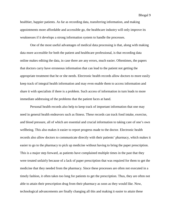healthier, happier patients. As far as recording data, transferring information, and making appointments more affordable and accessible go, the healthcare industry will only improve its weaknesses if it develops a strong information system to handle the processes.

One of the most useful advantages of medical data processing is that, along with making data more accessible for both the patient and healthcare professional, is that recording data online makes editing the data, in case there are any errors, much easier. Oftentimes, the papers that doctors carry have erroneous information that can lead to the patient not getting the appropriate treatment that he or she needs. Electronic health records allow doctors to more easily keep track of integral health information and may even enable them to access information and share it with specialists if there is a problem. Such access of information in turn leads to more immediate addressing of the problems that the patient faces at hand.

Personal health records also help to keep track of important information that one may need in general health endeavors such as fitness. These records can track food intake, exercise, and blood pressure, all of which are essential and crucial information to taking care of one's own wellbeing. This also makes it easier to report progress made to the doctor. Electronic health records also allow doctors to communicate directly with their patients' pharmacy, which makes it easier to go to the pharmacy to pick up medicine without having to bring the paper prescription. This is a major step forward, as patients have complained multiple times in the past that they were treated unfairly because of a lack of paper prescription that was required for them to get the medicine that they needed from the pharmacy. Since these processes are often not executed in a timely fashion, it often takes too long for patients to get the prescription. Thus, they are often not able to attain their prescription drug from their pharmacy as soon as they would like. Now, technological advancements are finally changing all this and making it easier to attain these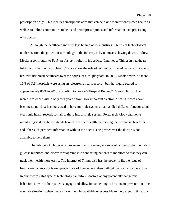prescription drugs. This includes smartphone apps that can help one monitor one's own health as well as to online communities to help and better prescriptions and information data processing with doctors.

Although the healthcare industry lags behind other industries in terms of technological modernization, the growth of technology in the industry is by no means slowing down. Andrew Meola, a contributor to *Business Insider*, writes in his article, "Internet of Things in healthcare: Information technology in health," shares how the role of technology in medical data processing has revolutionized healthcare over the course of a couple years. In 2009, Meola writes, "a mere 16% of U.S. hospitals were using an [electronic health record], but that figure soared to approximately 80% in 2013, according to Becker's Hospital Review" (Meola). For such an increase to occur within only four years shows how important electronic health records have become so quickly; hospitals used to have multiple systems that handled different functions, but electronic health records roll all of those into a single system. Portal technology and home monitoring systems help patients take care of their health by tracking their exercise, heart rate, and other such pertinent information without the doctor's help whenever the doctor is not available to help them.

The Internet of Things is a movement that is starting to weave ultrasounds, thermometers, glucose monitors, and electrocardiograms into connecting patients to monitors so that they can track their health more easily. The Internet of Things also has the power to fix the issue of healthcare patients not taking proper care of themselves when without the doctor's supervision. In other words, this type of technology can inform doctors of any potentially dangerous behaviors in which their patients engage and allow for something to be done to prevent it in time, even for situations when the doctor will not be available or accessible to the patient in time. Such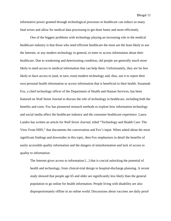informative power granted through technological processes in healthcare can reduce so many fatal errors and allow for medical data processing to get done faster and more efficiently.

One of the biggest problems with technology playing an increasing role in the medical healthcare industry is that those who need efficient healthcare the most are the least likely to use the Internet, or any modern technology in general, to enter or access information about their healthcare. Due to weakening and deteriorating condition, old people are generally much more likely to need access to medical information that can help them. Unfortunately, they are far less likely to have access to (and, in turn, trust) modern technology and, thus, use it to report their own personal health information or access information that is beneficial to their health. Susannah Fox, a chief technology officer of the Department of Health and Human Services, has been featured on Wall Street Journal to discuss the role of technology in healthcare, including both the benefits and costs. Fox has pioneered research methods to explore how information technology and social media affect the healthcare industry and the consumer healthcare experience. Laura Landro has written an article for *Wall Street Journal*, titled "Technology and Health Care: The View From HHS," that documents the conversation and Fox's input. When asked about the most significant findings and downsides in this topic, then Fox emphasizes in detail the benefits of easily accessible quality information and the dangers of misinformation and lack of access to quality to information:

The Internet gives access to information [...] that is crucial unlocking the potential of health and technology, from clinical-trial design to hospital-discharge planning. A recent study showed that people age 65 and older are significantly less likely than the general population to go online for health information. People living with disability are also disproportionately offline in an online world. Discussions about vaccines are daily proof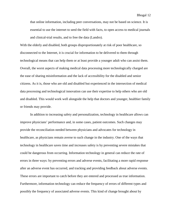that online information, including peer conversations, may not be based on science. It is essential to use the internet to seed the field with facts, to open access to medical journals and clinical-trial results, and to free the data (Landro).

With the elderly and disabled, both groups disproportionately at risk of poor healthcare, so disconnected to the Internet, it is crucial for information to be delivered to them through technological means that can help them or at least provide a younger adult who can assist them. Overall, the worst aspects of making medical data processing more technologically charged are the ease of sharing misinformation and the lack of accessibility for the disabled and senior citizens. As it is, those who are old and disabled but experienced in the intersection of medical data processing and technological innovation can use their expertise to help others who are old and disabled. This would work well alongside the help that doctors and younger, healthier family or friends may provide.

In addition to increasing safety and personalization, technology in healthcare allows can improve physicians' performance and, in some cases, patient outcomes. Such changes may provide the reconciliation needed between physicians and advocates for technology in healthcare, as physicians remain averse to such change in the industry. One of the ways that technology in healthcare saves time and increases safety is by preventing severe mistakes that could be dangerous from occurring. Information technology in general can reduce the rate of errors in three ways: by preventing errors and adverse events, facilitating a more rapid response after an adverse event has occurred, and tracking and providing feedback about adverse events. These errors are important to catch before they are entered and processed as true information. Furthermore, information technology can reduce the frequency of errors of different types and possibly the frequency of associated adverse events. This kind of change brought about by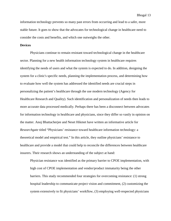information technology prevents so many past errors from occurring and lead to a safer, more stable future. It goes to show that the advocates for technological change in healthcare need to consider the costs and benefits, and which one outweighs the other.

## **Devices**

Physicians continue to remain resistant toward technological change in the healthcare sector. Planning for a new health information technology system in healthcare requires identifying the needs of users and what the system is expected to do. In addition, designing the system for a clinic's specific needs, planning the implementation process, and determining how to evaluate how well the system has addressed the identified needs are crucial steps in personalizing the patient's healthcare through the use modern technology (Agency for Healthcare Research and Quality). Such identification and personalization of needs then leads to more accurate data processed medically. Perhaps there has been a disconnect between advocates for information technology in healthcare and physicians, since they differ so vastly in opinion on the matter. Anoj Bhattacherjee and Neset Hikmet have written an informative article for *Researchgate* titled "Physicians' resistance toward healthcare information technology: a theoretical model and empirical test." In this article, they outline physicians' resistance to healthcare and provide a model that could help to reconcile the differences between healthcare insurers. Their research shows an understanding of the subject at hand:

Physician resistance was identified as the primary barrier to CPOE implementation, with high cost of CPOE implementation and vendor/product immaturity being the other barriers. This study recommended four strategies for overcoming resistance: (1) strong hospital leadership to communicate project vision and commitment, (2) customizing the system extensively to fit physicians' workflow, (3) employing well-respected physicians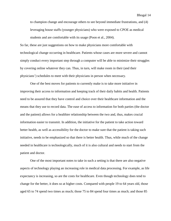to champion change and encourage others to see beyond immediate frustrations, and (4) leveraging house staffs (younger physicians) who were exposed to CPOE as medical students and are comfortable with its usage (Poon et al., 2004).

So far, these are just suggestions on how to make physicians more comfortable with technological change occurring in healthcare. Patients whose cases are more severe and cannot simply conduct every important step through a computer will be able to minimize their struggles by covering online whatever they can. Thus, in turn, will make room in their (and their physicians') schedules to meet with their physicians in person when necessary.

One of the best moves for patients to currently make is to take more initiative in improving their access to information and keeping track of their daily habits and health. Patients need to be assured that they have control and choice over their healthcare information and the means that they use to record data. The ease of access to information for both parties (the doctor and the patient) allows for a healthier relationship between the two and, thus, makes crucial information easier to transmit. In addition, the initiative for the patient to take action toward better health, as well as accessibility for the doctor to make sure that the patient is taking such initiative, needs to be emphasized so that there is better health. Thus, while much of the change needed in healthcare is technologically, much of it is also cultural and needs to start from the patient and doctor.

One of the most important notes to take in such a setting is that there are also negative aspects of technology playing an increasing role in medical data processing. For example, as life expectancy is increasing, so are the costs for healthcare. Even though technology does tend to change for the better, it does so at higher costs. Compared with people 19 to 64 years old, those aged 65 to 74 spend two times as much; those 75 to 84 spend four times as much; and those 85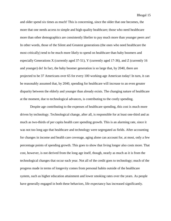and older spend six times as much! This is concerning, since the older that one becomes, the more that one needs access to simple and high-quality healthcare; those who need healthcare more than other demographics are consistently likelier to pay much more than younger peers are! In other words, those of the Silent and Greatest generations (the ones who need healthcare the most critically) tend to be much more likely to spend on healthcare than baby boomers and especially Generations X (currently aged 37-51), Y (currently aged 17-36), and Z (currently 16 and younger) do! In fact, the baby boomer generation is so large that, by 2040, there are projected to be 37 Americans over 65 for every 100 working-age American today! In turn, it can be reasonably assumed that, by 2040, spending for healthcare will increase to an even greater disparity between the elderly and younger than already exists. The changing nature of healthcare at the moment, due to technological advances, is contributing to the costly spending.

Despite age contributing to the expenses of healthcare spending, this cost is much more driven by technology. Technological change, after all, is responsible for at least one-third and as much as two-thirds of per capita health care spending growth. This is an alarming rate, since it was not too long ago that healthcare and technology were segregated as fields. After accounting for changes in income and health care coverage, aging alone can account for, at most, only a few percentage points of spending growth. This goes to show that living longer also costs more. That cost, however, is not derived from the long age itself, though, nearly as much as it is from the technological changes that occur each year. Not all of the credit goes to technology; much of the progress made in terms of longevity comes from personal habits outside of the healthcare system, such as higher education attainment and lower smoking rates over the years. As people have generally engaged in both these behaviors, life expectancy has increased significantly.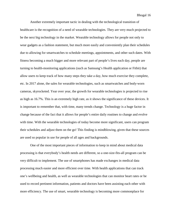Another extremely important tactic in dealing with the technological transition of healthcare is the recognition of a need of wearable technologies. They are very much projected to be the next big technology in the market. Wearable technology allows for people not only to wear gadgets as a fashion statement, but much more easily and conveniently plan their schedules due to allowing for smartwatches to schedule meetings, appointments, and other such dates. With fitness becoming a much bigger and more relevant part of people's lives each day, people are turning to health-monitoring applications (such as Samsung's Health application or Fitbit) that allow users to keep track of how many steps they take a day, how much exercise they complete, etc. In 2017 alone, the sales for wearable technologies, such as smartwatches and body-worn cameras, skyrocketed. Year over year, the growth for wearable technologies is projected to rise as high as 16.7%. This is an extremely high rate, as it shows the significance of these devices. It is important to remember that, with time, many trends change. Technology is a huge factor in change because of the fact that it allows for people's entire daily routines to change and evolve with time. With the wearable technologies of today become more significant, users can program their schedules and adjust them on the go! This finding is mindblowing, given that these sources are used so popular in use for people of all ages and backgrounds.

One of the most important pieces of information to keep in mind about medical data processing is that everybody's health needs are different, so a one-size-fits-all program can be very difficult to implement. The use of smartphones has made exchanges in medical data processing much easier and more efficient over time. With health applications that can track one's wellbeing and health, as well as wearable technologies that can monitor heart rates or be used to record pertinent information, patients and doctors have been assisting each other with more efficiency. The use of smart, wearable technology is becoming more commonplace for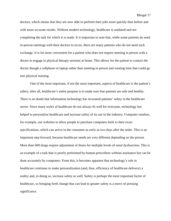doctors, which means that they are now able to perform their jobs more quickly than before and with more accurate results. Without modern technology, healthcare is outdated and not completing the task for which it is made. It is important to note that, while some patients do need in-person meetings with their doctors to occur, there are many patients who do not need such exchange. It is far more convenient for a patient who does not require meeting in person with a doctor to engage in physical therapy sessions at home. This allows for the patient to contact the doctor though a cellphone or laptop rather than meeting in person and wasting time that could go into physical training.

One of the most important, if not the most important, aspects of healthcare is the patient's safety; after all, healthcare's entire purpose is to make sure that patients are safe and healthy. There is no doubt that information technology has increased patients' safety in the healthcare sector. Since many styles of healthcare do not always fit well for everyone, technology has helped to personalize healthcare and increase safety of its use in the industry. Computer retailers, for example, use websites to allow people to purchase computers built to their exact specifications, which can arrive to the consumer as early as two days after the order. This is an important step forward, because healthcare needs are very different depending on the person. More than 600 drugs require adjustment of doses for multiple levels of renal dysfunction. This is an example of a task that is poorly performed by human prescribers without assistance but can be done accurately by computers. From this, it becomes apparent that technology's role in healthcare continues to make personalization (and, thus, efficiency of healthcare delivery) a reality and, in doing so, increase safety as well. Safety is perhaps the most important factor of healthcare, so bringing forth change that can lead to greater safety is a move of pressing significance.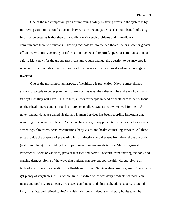One of the most important parts of improving safety by fixing errors in the system is by improving communication that occurs between doctors and patients. The main benefit of using information systems is that they can rapidly identify such problems and immediately communicate them to clinicians. Allowing technology into the healthcare sector allow for greater efficiency with time, accuracy of information tracked and reported, speed of communication, and safety. Right now, for the groups most resistant to such change, the question to be answered is whether it is a good idea to allow the costs to increase as much as they do when technology is involved.

One of the most important aspects of healthcare is prevention. Having smartphones allows for people to better plan their future, such as what their diet will be and even how many (if any) kids they will have. This, in turn, allows for people in need of healthcare to better focus on their health needs and approach a more personalized system that works well for them. A governmental database called Health and Human Services has been recording important data regarding preventive healthcare. As the database cites, many preventive services include cancer screenings, cholesterol tests, vaccinations, baby visits, and health counseling services. All these tests provide the purpose of preventing lethal infections and diseases from throughout the body (and onto others) by providing the proper preventive treatments in time. Shots in general (whether flu shots or vaccines) prevent diseases and harmful bacteria from entering the body and causing damage. Some of the ways that patients can prevent poor health without relying on technology or on extra spending, the Health and Human Services database lists, are to "be sure to get plenty of vegetables, fruits, whole grains, fat-free or low-fat dairy products seafood, lean meats and poultry, eggs, beans, peas, seeds, and nuts" and "limit salt, added sugars, saturated fats, *trans* fats, and refined grains" (healthfinder.gov). Indeed, such dietary habits taken by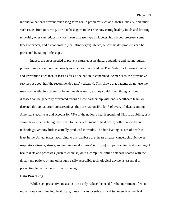individual patients prevent much long-term health problems such as diabetes, obesity, and other such issues from occurring. The database goes to describe how eating healthy foods and limiting unhealthy ones can reduce risk for "heart disease, type 2 diabetes, high blood pressure, some types of cancer, and osteoporosis" (healthfinder.gov). Hence, serious health problems can be prevented by taking little steps.

Indeed, the steps needed to prevent extraneous healthcare spending and technological programming are not utilized nearly as much as they could be. The Center for Disease Control and Prevention cites that, at least as far as one nation in concerned, "Americans use preventive services at about half the recommended rate" (cdc.gov). This shows that patients do not use the resources available to them for better health as easily as they could. Even though chronic diseases can be generally prevented through close partnership with one's healthcare team, or detected through appropriate screenings, they are responsible for 7 of every 10 deaths among Americans each year and account for 75% of the nation's health spending! This is troubling, as it shows how much is being invested into the development of healthcare, both financially and technology, yet how little is actually produced in results. The five leading causes of death (at least in the United States) according to this database are "heart disease, cancer, chronic lower respiratory disease, stroke, and unintentional injuries" (cdc.gov). Proper tracking and planning of health diets and processes (such as exercise) onto a computer, online database shared with the doctor and patient, or any other such easily accessible technological device, is essential to preventing lethal incidents from occurring.

#### **Data Processing**

While such preventive measures can vastly reduce the need for the investment of even more money and time into healthcare, they still cannot solve critical issues such as medical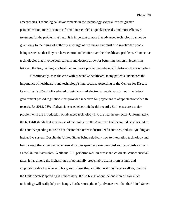Bhogal 20

emergencies. Technological advancements in the technology sector allow for greater personalization, more accurate information recorded at quicker speeds, and more effective treatment for the problems at hand. It is important to note that advanced technology cannot be given only to the figure of authority in charge of healthcare but must also involve the people being treated so that they can have control and choice over their healthcare problems. Connective technologies that involve both patients and doctors allow for better interaction in lesser time between the two, leading to a healthier and more productive relationship between the two parties.

Unfortunately, as is the case with preventive healthcare, many patients underscore the importance of healthcare's and technology's intersection. According to the Centers for Disease Control, only 38% of office-based physicians used electronic health records until the federal government passed regulations that provided incentive for physicians to adopt electronic health records. By 2013, 78% of physicians used electronic health records. Still, costs are a major problem with the introduction of advanced technology into the healthcare sector. Unfortunately, the fact still stands that greater use of technology in the American healthcare industry has led to the country spending more on healthcare than other industrialized countries, and still yielding an ineffective system. Despite the United States being relatively new to integrating technology and healthcare, other countries have been shown to spent between one-third and two-thirds as much as the United States does. While the U.S. performs well on breast and colorectal cancer survival rates, it has among the highest rates of potentially preventable deaths from asthma and amputations due to diabetes. This goes to show that, as bitter as it may be to swallow, much of the United States' spending is unnecessary. It also brings about the question of how much technology will really help or change. Furthermore, the only advancement that the United States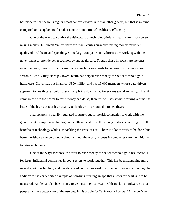has made in healthcare is higher breast cancer survival rate than other groups, but that is minimal compared to its lag behind the other countries in terms of healthcare efficiency.

One of the ways to combat the rising cost of technology-infused healthcare is, of course, raising money. In Silicon Valley, there are many causes currently raising money for better quality of healthcare and spending. Some large companies in California are working with the government to provide better technology and healthcare. Though those in power are the ones raising money, there is still concern that so much money needs to be raised in the healthcare sector. Silicon Valley startup Clover Health has helped raise money for better technology in healthcare. Clover has put in almost \$300 million and has 19,000 members whose data-driven approach to health care could substantially bring down what Americans spend annually. Thus, if companies with the power to raise money can do so, then this will assist with working around the issue of the high costs of high quality technology incorporated into healthcare.

Healthcare is a heavily regulated industry, but for health companies to work with the government to improve technology in healthcare and raise the money to do so can bring forth the benefits of technology while also tackling the issue of cost. There is a lot of work to be done, but better healthcare can be brought about without the worry of costs if companies take the initiative to raise such money.

One of the ways for those in power to raise money for better technology in healthcare is for large, influential companies in both sectors to work together. This has been happening more recently, with technology and health related companies working together to raise such money. In addition to the earlier cited example of Samsung creating an app that allows for heart rate to be measured, Apple has also been trying to get customers to wear health-tracking hardware so that people can take better care of themselves. In his article for *Technology Review*, "Amazon May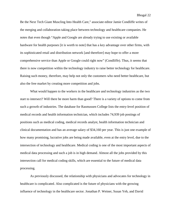Be the Next Tech Giant Muscling Into Health Care," associate editor Jamie Condliffe writes of the merging and collaboration taking place between technology and healthcare companies. He notes that even though "Apple and Google are already trying to use existing or available hardware for health purposes [it is worth to note] that has a key advantage over other firms, with its sophisticated retail and distribution network [and therefore] may hope to offer a more comprehensive service than Apple or Google could right now" (Condliffe). Thus, it seems that there is now competition within the technology industry to raise better technology for healthcare. Raising such money, therefore, may help not only the customers who need better healthcare, but also the free market by creating more competition and jobs.

What would happen to the workers in the healthcare and technology industries as the two start to intersect? Will there be more harm than good? There is a variety of options to come from such a growth of industries. The database for Rasmussen College lists the entry-level position of medical records and health information technician, which includes 74,939 job postings of positions such as medical coding, medical records analyst, health information technician and clinical documentation and has an average salary of \$34,160 per year. This is just one example of how many promising, lucrative jobs are being made available, even at the entry level, due to the intersection of technology and healthcare. Medical coding is one of the most important aspects of medical data processing and such a job is in high demand. Almost all the jobs provided by this intersection call for medical coding skills, which are essential to the future of medical data processing.

As previously discussed, the relationship with physicians and advocates for technology in healthcare is complicated. Also complicated is the future of physicians with the growing influence of technology in the healthcare sector. Jonathan P. Weiner, Susan Yeh, and David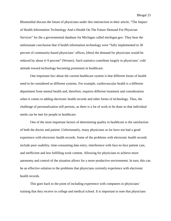Blumenthal discuss the future of physicians under this intersection in their article, "The Impact of Health Information Technology And e-Health On The Future Demand For Physician Services" for the a governmental database for Michigan called michigan.gov. They bear the unfortunate conclusion that if health information technology were "fully implemented in 30 percent of community-based physicians' offices, [then] the demand for physicians would be reduced by about 4–9 percent" (Weiner). Such statistics contribute largely to physicians' cold attitude toward technology becoming prominent in healthcare.

One important fact about the current healthcare system is that different forms of health need to be considered as different systems. For example, cardiovascular health is a different department from mental health and, therefore, requires different treatment and consideration when it comes to adding electronic health records and other forms of technology. Thus, the challenge of personalization still persists, as there is a lot of work to be done so that individual needs can be met for people in healthcare.

One of the most important factors of determining quality in healthcare is the satisfaction of both the doctor and patient. Unfortunately, many physicians so far have not had a good experience with electronic health records. Some of the problems with electronic health records include poor usability, time-consuming data entry, interference with face-to-face patient care, and inefficient and less fulfilling work content. Allowing for physicians to achieve more autonomy and control of the situation allows for a more productive environment. In turn, this can be an effective solution to the problems that physicians currently experience with electronic health records.

This goes back to the point of including experience with computers in physicians' training that they receive in college and medical school. It is important to note that physicians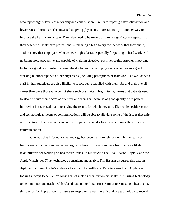who report higher levels of autonomy and control at are likelier to report greater satisfaction and lower rates of turnover. This means that giving physicians more autonomy is another way to improve the healthcare system. They also need to be treated as they are getting the respect that they deserve as healthcare professionals - meaning a high salary for the work that they put in; studies show that employees who achieve high salaries, especially for putting in hard work, end up being more productive and capable of yielding effective, positive results. Another important factor is a good relationship between the doctor and patient; physicians who perceive good working relationships with other physicians (including perceptions of teamwork), as well as with staff in their practices, are also likelier to report being satisfied with their jobs and their overall career than were those who do not share such positivity. This, in turns, means that patients need to also perceive their doctor as attentive and their healthcare as of good quality, with patients improving in their health and receiving the results for which they aim. Electronic health records and technological means of communications will be able to alleviate some of the issues that exist with electronic health records and allow for patients and doctors to have more efficient, easy communication.

One way that information technology has become more relevant within the realm of healthcare is that well-known technologically based corporations have become more likely to take initiative for working on healthcare issues. In his article "The Real Reason Apple Made the Apple Watch" for *Time*, technology consultant and analyst Tim Bajarin discusses this case in depth and outlines Apple's endeavor to expand to healthcare. Barajin states that "Apple was looking at ways to deliver on Jobs' goal of making their customers healthier by using technology to help monitor and track health related data points" (Bajarin). Similar to Samsung's health app, this device for Apple allows for users to keep themselves more fit and use technology to record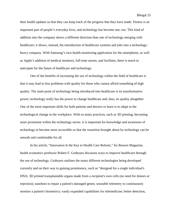their health updates so that they can keep track of the progress that they have made. Fitness is an important part of people's everyday lives, and technology has become one, too. This kind of addition into the company shows a different direction than one of technology merging with healthcare; it shows, instead, the introduction of healthcare systems and jobs into a technologyheavy company. With Samsung's own health monitoring application for the smartphone, as well as Apple's addition of medical monitors, full-time nurses, and facilities, there is much to anticipate for the future of healthcare and technology.

One of the benefits of increasing the use of technology within the field of healthcare is that it may lead to less problems with quality for those who cannot afford something of high quality. The main point of technology being introduced into healthcare is its transformative power; technology really has the power to change healthcare and, thus, its quality altogether. One of the most important skills for both patients and doctors to learn is to adapt to the technological change in the workplace. With so many practices, such as 3D printing, becoming more prominent within the technology sector, it is important for knowledge and awareness of technology to become more accessible so that the transition brought about by technology can be smooth and comfortable for all.

In his article, "Innovation Is the Key to Health Care Reform," for *Reason* Magazine, health economics professor Robert F. Graboyes discusses ways to improve healthcare through the use of technology. Graboyes outlines the many different technologies being developed currently and on their way to gaining prominence, such as "designed for a single individual's DNA; 3D printed transplantable organs made from a recipient's own cells (no need for donors or rejection); nanobots to repair a patient's damaged genes; wearable telemetry to continuously monitor a patient's biometrics; vastly expanded capabilities for telemedicine; better detection,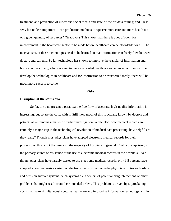treatment, and prevention of illness via social media and state-of-the-art data mining; and—less sexy but no less important—lean production methods to squeeze more care and more health out of a given quantity of resources" (Graboyes). This shows that there is a lot of room for improvement in the healthcare sector to be made before healthcare can be affordable for all. The mechanisms of these technologies need to be learned so that information can freely flow between doctors and patients. So far, technology has shown to improve the transfer of information and bring about accuracy, which is essential to a successful healthcare experience. With more time to develop the technologies in healthcare and for information to be transferred freely, there will be much more success to come.

#### **Risks**

### **Disruption of the status quo**

So far, the data present a paradox: the free flow of accurate, high-quality information is increasing, but so are the costs with it. Still, how much of this is actually known by doctors and patients alike remains a matter of further investigation. While electronic medical records are certainly a major step in the technological revolution of medical data processing, how helpful are they really? Though most physicians have adopted electronic medical records for their professions, this is not the case with the majority of hospitals in general. Cost is unsurprisingly the primary source of resistance of the use of electronic medical records in the hospitals. Even though physicians have largely started to use electronic medical records, only 1.5 percent have adopted a comprehensive system of electronic records that includes physicians' notes and orders and decision support systems. Such systems alert doctors of potential drug interactions or other problems that might result from their intended orders. This problem is driven by skyrocketing costs that make simultaneously cutting healthcare and improving information technology within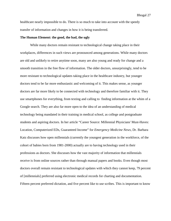healthcare nearly impossible to do. There is so much to take into account with the speedy transfer of information and changes in how it is being transferred.

#### **The Human Element: the good, the bad, the ugly**

While many doctors remain resistant to technological change taking place in their workplaces, differences in such views are pronounced among generations. While many doctors are old and unlikely to retire anytime soon, many are also young and ready for change and a smooth transition in the free flow of information. The older doctors, unsurprisingly, tend to be more resistant to technological updates taking place in the healthcare industry, but younger doctors tend to be far more enthusiastic and welcoming of it. This makes sense, as younger doctors are far more likely to be connected with technology and therefore familiar with it. They use smartphones for everything, from texting and calling to finding information at the whim of a Google search. They are also far more open to the idea of an understanding of medical technology being mandated in their training in medical school, as college and postgraduate students and aspiring doctors. In her article "Career Source: Millennial Physicians' Must-Haves: Location, Computerized EDs, Guaranteed Income" for *Emergency Medicine News*, Dr. Barbara Katz discusses how open millennials (currently the youngest generation in the workforce, of the cohort of babies born from 1981-2000) actually are to having technology used in their professions as doctors. She discusses how the vast majority of information that millennials receive is from online sources rather than through manual papers and books. Even though most doctors overall remain resistant to technological updates with which they cannot keep, 79 percent of [millennials] preferred using electronic medical records for charting and documentation. Fifteen percent preferred dictation, and five percent like to use scribes. This is important to know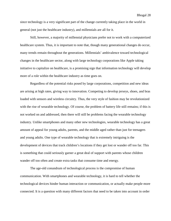since technology is a very significant part of the change currently taking place in the world in general (not just the healthcare industry), and millennials are all for it.

Still, however, a majority of millennial physicians prefer not to work with a computerized healthcare system. Thus, it is important to note that, though many generational changes do occur, many trends remain throughout the generations. Millennials' ambivalence toward technological changes in the healthcare sector, along with large technology corporations like Apple taking initiative to capitalize on healthcare, is a promising sign that information technology will develop more of a role within the healthcare industry as time goes on.

Regardless of the potential risks posed by large corporations, competition and new ideas are arising at high rates, giving way to innovation. Competing to develop jerseys, shoes, and bras loaded with sensors and wireless circuitry. Thus, the very style of fashion may be revolutionized with the rise of wearable technology. Of course, the problem of battery life still remains; if this is not worked on and addressed, then there will still be problems facing the wearable technology industry. Unlike smartphones and many other new technologies, wearable technology has a great amount of appeal for young adults, parents, and the middle aged rather than just for teenagers and young adults. One type of wearable technology that is extremely intriguing is the development of devices that track children's locations if they get lost or wander off too far. This is something that could seriously garner a great deal of support with parents whose children wander off too often and create extra tasks that consume time and energy.

The age-old conundrum of technological process is the compromise of human communication. With smartphones and wearable technology, it is hard to tell whether the technological devices hinder human interaction or communication, or actually make people more connected. It is a question with many different factors that need to be taken into account in order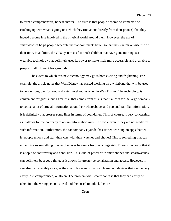to form a comprehensive, honest answer. The truth is that people become so immersed on catching up with what is going on (which they find about directly from their phones) that they indeed become less involved in the physical world around them. However, the use of smartwatches helps people schedule their appointments better so that they can make wise use of their time. In addition, the GPS system used to track children that have gone missing is a wearable technology that definitely uses its power to make itself more accessible and available to people of all different backgrounds.

The extent to which this new technology may go is both exciting and frightening. For example, the article notes that Walt Disney has started working on a wristband that will be used to get on rides, pay for food and enter hotel rooms when in Walt Disney. The technology is convenient for guests, but a great risk that comes from this is that it allows for the large company to collect a lot of crucial information about their whereabouts and personal familial information. It is definitely that crosses some lines in terms of boundaries. This, of course, is very concerning, as it allows for the company to obtain information over the people even if they are not ready for such information. Furthermore, the car company Hyundai has started working on apps that will let people unlock and start their cars with their watches and phones! This is something that can either give us something greater than ever before or become a huge risk. There is no doubt that it is a topic of controversy and confusion. This kind of power with smartphones and smartwatches can definitely be a good thing, as it allows for greater personalization and access. However, it can also be incredibly risky, as the smartphone and smartwatch are both devices that can be very easily lost, compromised, or stolen. The problem with smartphones is that they can easily be taken into the wrong person's head and then used to unlock the car.

#### **Costs**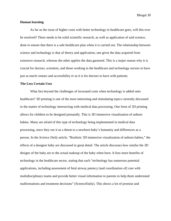Bhogal 30

### **Human learning**

As far as the issue of higher costs with better technology in healthcare goes, will this ever be resolved? There needs to be solid scientific research, as well as application of said science, done to ensure that there is a safe healthcare plan when it is carried out. The relationship between science and technology is that of theory and application; one gives the data acquired from extensive research, whereas the other applies the data garnered. This is a major reason why it is crucial for doctors, scientists, and those working in the healthcare and technology sectors to have just as much contact and accessibility er as it is for doctors to have with patients.

#### **The Less Certain Uses**

What lies beyond the challenges of increased costs when technology is added onto healthcare? 3D printing is one of the most interesting and stimulating topics currently discussed in the matter of technology intersecting with medical data processing. One form of 3D printing allows for children to be designed prenatally. This is 3D immersive visualization of unborn babies. Many are afraid of this type of technology being implemented in medical data processing, since they see it as a threat to a newborn baby's humanity and differences as a person. In the *Science Daily* article, "Realistic 3D immersive visualization of unborn babies," the effects of a designer baby are discussed in great detail. The article discusses how similar the 3D designs of the baby are to the actual makeup of the baby when born. It lists more benefits of technology in the healthcare sector, stating that such "technology has numerous potential applications, including assessment of fetal airway patency [and coordination of] care with multidisciplinary teams and provide better visual information to parents to help them understand malformations and treatment decisions" (ScienceDaily). This shows a lot of promise and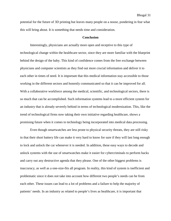potential for the future of 3D printing but leaves many people on a noose, pondering in fear what this will bring about. It is something that needs time and consideration.

## **Conclusion**

Interestingly, physicians are actually more open and receptive to this type of technological change within the healthcare sector, since they are more familiar with the blueprint behind the design of the baby. This kind of confidence comes from the free exchange between physicians and computer scientists as they find out more crucial information and deliver it to each other in times of need. It is important that this medical information stay accessible to those working in the different sectors and honestly communicated so that it can be improved for all. With a collaborative workforce among the medical, scientific, and technological sectors, there is so much that can be accomplished. Such information systems lead to a more efficient system for an industry that is already severely behind in terms of technological modernization. This, like the trend of technological firms now taking their own initiative regarding healthcare, shows a promising future when it comes to technology being incorporated into medical data processing.

Even though smartwatches are less prone to physical security threats, they are still risky in that their short battery life can make it very hard to know for sure if they will last long enough to lock and unlock the car whenever it is needed. In addition, these easy ways to decode and unlock systems with the use of smartwatches make it easier for cybercriminals to perform hacks and carry out any destructive agenda that they please. One of the other biggest problems is inaccuracy, as well as a one-size-fits all program. In reality, this kind of system is inefficient and problematic since it does not take into account how different two people's needs can be from each other. These issues can lead to a lot of problems and a failure to help the majority of patients' needs. In an industry as related to people's lives as healthcare, it is important that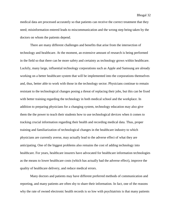medical data are processed accurately so that patients can receive the correct treatment that they need; misinformation entered leads to miscommunication and the wrong step being taken by the doctors on whom the patients depend.

There are many different challenges and benefits that arise from the intersection of technology and healthcare. At the moment, an extensive amount of research is being performed in the field so that there can be more safety and certainty as technology grows within healthcare. Luckily, many large, influential technology corporations such as Apple and Samsung are already working on a better healthcare system that will be implemented into the corporations themselves and, thus, better able to work with those in the technology sector. Physicians continue to remain resistant to the technological changes posing a threat of replacing their jobs, but this can be fixed with better training regarding the technology in both medical school and the workplace. In addition to preparing physicians for a changing system, technology education may also give them the the power to teach their students how to use technological devices when it comes to tracking crucial information regarding their health and recording medical data. Thus, proper training and familiarization of technological changes in the healthcare industry to which physicians are currently averse, may actually lead to the adverse effect of what they are anticipating. One of the biggest problems also remains the cost of adding technology into healthcare. For years, healthcare insurers have advocated for healthcare information technologies as the means to lower healthcare costs (which has actually had the adverse effect), improve the quality of healthcare delivery, and reduce medical errors.

Many doctors and patients may have different preferred methods of communication and reporting, and many patients are often shy to share their information. In fact, one of the reasons why the rate of owned electronic health records is so low with psychiatrists is that many patients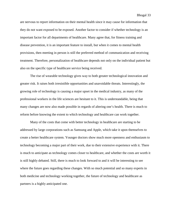are nervous to report information on their mental health since it may cause for information that they do not want exposed to be exposed. Another factor to consider if whether technology is an important factor for all departments of healthcare. Many agree that, for fitness training and disease prevention, it is an important feature to install, but when it comes to mental health provisions, then meeting in person is still the preferred method of communication and receiving treatment. Therefore, personalization of healthcare depends not only on the individual patient but also on the specific type of healthcare service being received.

The rise of wearable technology gives way to both greater technological innovation and greater risk. It raises both irresistible opportunities and unavoidable threats. Interestingly, the growing role of technology is causing a major upset in the medical industry, as many of the professional workers in the life sciences are hesitant to it. This is understandable, being that many changes are now also made possible in regards of altering one's health. There is much to reform before knowing the extent to which technology and healthcare can work together.

Many of the costs that come with better technology in healthcare are starting to be addressed by large corporations such as Samsung and Apple, which take it upon themselves to create a better healthcare system. Younger doctors show much more openness and enthusiasm to technology becoming a major part of their work, due to their extensive experience with it. There is much to anticipate as technology comes closer to healthcare, and whether the costs are worth it is still highly debated. Still, there is much to look forward to and it will be interesting to see where the future goes regarding these changes. With so much potential and so many experts in both medicine and technology working together, the future of technology and healthcare as partners is a highly anticipated one.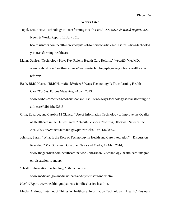#### **Works Cited**

Topol, Eric. "How Technology Is Transforming Health Care." *U.S. News & World Report*, U.S. News & World Report, 12 July 2013,

health.usnews.com/health-news/hospital-of-tomorrow/articles/2013/07/12/how-technolog y-is-transforming-healthcare.

- Mann, Denise. "Technology Plays Key Role in Health Care Reform." *WebMD*, WebMD, www.webmd.com/health-insurance/features/technology-plays-key-role-in-health-carereform#1.
- Bank, BMO Harris. "BMOHarrisBankVoice: 5 Ways Technology Is Transforming Health Care."*Forbes*, Forbes Magazine, 24 Jan. 2013, www.forbes.com/sites/bmoharrisbank/2013/01/24/5-ways-technology-is-transforming-he alth-care/#2b11fbcd26c5.
- Ortiz, Eduardo, and Carolyn M Clancy. "Use of Information Technology to Improve the Quality of Healthcare in the United States." *Health Services Research*, Blackwell Science Inc, Apr. 2003, www.ncbi.nlm.nih.gov/pmc/articles/PMC1360897/.
- Johnson, Sarah. "What Is the Role of Technology in Health and Care Integration? Discussion Roundup." *The Guardian*, Guardian News and Media, 17 Mar. 2014, www.theguardian.com/healthcare-network/2014/mar/17/technology-health-care-integrati on-discussion-roundup.
- "Health Information Technology." *Medicaid.gov*,

www.medicaid.gov/medicaid/data-and-systems/hit/index.html.

*HealthIT.gov*, www.healthit.gov/patients-families/basics-health-it.

Meola, Andrew. "Internet of Things in Healthcare: Information Technology in Health." *Business*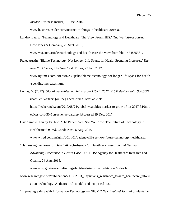*Insider*, Business Insider, 19 Dec. 2016,

www.businessinsider.com/internet-of-things-in-healthcare-2016-8.

Landro, Laura. "Technology and Healthcare: The View From HHS." *The Wall Street Journal*, Dow Jones & Company, 25 Sept. 2016, www.wsj.com/articles/technology-and-health-care-the-view-from-hhs-1474855381.

Frakt, Austin. "Blame Technology, Not Longer Life Spans, for Health Spending Increases."*The New York Times*, The New York Times, 23 Jan. 2017, www.nytimes.com/2017/01/23/upshot/blame-technology-not-longer-life-spans-for-health -spending-increases.html.

- Lomas, N. (2017). *Global wearables market to grow 17% in 2017, 310M devices sold, \$30.5BN revenue: Gartner*. [online] TechCrunch. Available at: https://techcrunch.com/2017/08/24/global-wearables-market-to-grow-17-in-2017-310m-d evices-sold-30-5bn-revenue-gartner/ [Accessed 19 Dec. 2017].
- Gay, SimpleTherapy Dr. Nic. "The Patient Will See You Now: The Future of Technology in Healthcare." *Wired*, Conde Nast, 6 Aug. 2015,

www.wired.com/insights/2014/01/patient-will-see-now-future-technology-healthcare/.

"Harnessing the Power of Data." *AHRQ--Agency for Healthcare Research and Quality: Advancing Excellence in Health Care*, U.S. HHS: Agency for Healthcare Research and Quality, 24 Aug. 2015,

www.ahrq.gov/research/findings/factsheets/informatic/databrief/index.html.

www.researchgate.net/publication/211382563\_Physicians'\_resistance\_toward\_healthcare\_inform ation\_technology\_A\_theoretical\_model\_and\_empirical\_test.

"Improving Safety with Information Technology — NEJM." *New England Journal of Medicine*,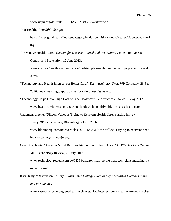www.nejm.org/doi/full/10.1056/NEJMsa020847#t=article.

"Eat Healthy." *Healthfinder.gov*,

healthfinder.gov/HealthTopics/Category/health-conditions-and-diseases/diabetes/eat-heal thy.

"Preventive Health Care." *Centers for Disease Control and Prevention*, Centers for Disease Control and Prevention, 12 June 2013,

www.cdc.gov/healthcommunication/toolstemplates/entertainmented/tips/preventivehealth .html.

- "Technology and Health Intersect for Better Care." *The Washington Post*, WP Company, 28 Feb. 2016, www.washingtonpost.com/sf/brand-connect/samsung/.
- "Technology Helps Drive High Cost of U.S. Healthcare." *Healthcare IT News*, 3 May 2012, www.healthcareitnews.com/news/technology-helps-drive-high-cost-us-healthcare.

Chapman, Lizette. "Silicon Valley Is Trying to Reinvent Health Care, Starting in New Jersey."*Bloomberg.com*, Bloomberg, 7 Dec. 2016, www.bloomberg.com/news/articles/2016-12-07/silicon-valley-is-trying-to-reinvent-healt h-care-starting-in-new-jersey.

Condliffe, Jamie. "Amazon Might Be Branching out into Health Care." *MIT Technology Review*, MIT Technology Review, 27 July 2017,

www.technologyreview.com/s/608354/amazon-may-be-the-next-tech-giant-muscling-int o-healthcare/.

Katz, Katy. "Rasmussen College." *Rasmussen College - Regionally Accredited College Online and on Campus*,

www.rasmussen.edu/degrees/health-sciences/blog/intersection-of-healthcare-and-it-jobs-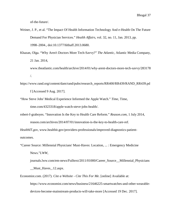of-the-future/.

/.

- Weiner, J. P., et al. "The Impact Of Health Information Technology And e-Health On The Future Demand For Physician Services." *Health Affairs*, vol. 32, no. 11, Jan. 2013, pp. 1998–2004., doi:10.1377/hlthaff.2013.0680.
- Khazan, Olga. "Why Aren't Doctors More Tech-Savvy?" *The Atlantic*, Atlantic Media Company, 21 Jan. 2014, www.theatlantic.com/health/archive/2014/01/why-arent-doctors-more-tech-savvy/283178
- https://www.rand.org/content/dam/rand/pubs/research\_reports/RR400/RR439/RAND\_RR439.pd f [Accessed 9 Aug. 2017].
- "How Steve Jobs' Medical Experience Informed the Apple Watch." *Time*, Time, time.com/4323318/apple-watch-steve-jobs-health/.
- robert-f-graboyes. "Innovation Is the Key to Health Care Reform." *Reason.com*, 1 July 2014, reason.com/archives/2014/07/01/innovation-is-the-key-to-health-care-ref.

*HealthIT.gov*, www.healthit.gov/providers-professionals/improved-diagnostics-patientoutcomes.

"Career Source: Millennial Physicians' Must-Haves: Location, ... : Emergency Medicine News."*LWW*,

journals.lww.com/em-news/Fulltext/2011/01000/Career\_Source\_\_Millennial\_Physicians \_\_Must\_Haves\_.12.aspx.

Economist.com. (2017). *Cite a Website - Cite This For Me*. [online] Available at: https://www.economist.com/news/business/21646225-smartwatches-and-other-wearabledevices-become-mainstream-products-will-take-more [Accessed 19 Dec. 2017].